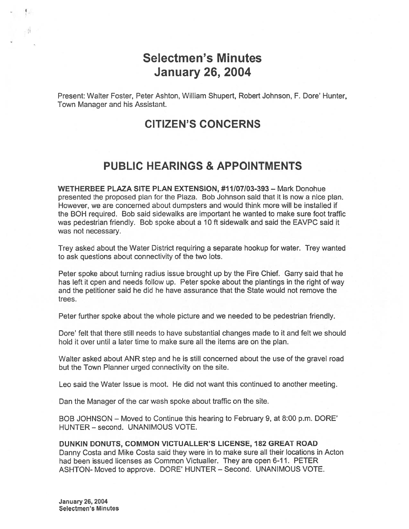# Selectmen's Minutes January 26, 2004

Present: Walter Foster, Peter Ashton, William Shupert, Robert Johnson, F. Dore' Hunter, Town Manager and his Assistant.

## CITIZEN'S CONCERNS

## PUBLIC HEARINGS & APPOINTMENTS

WETHERBEE PLAZA SITE PLAN EXTENSION, #11107103-393 — Mark Donohue presented the proposed plan for the Plaza. Bob Johnson said that it is now <sup>a</sup> nice plan. However, we are concerned about dumpsters and would think more will be installed if the BOH required. Bob said sidewalks are important he wanted to make sure foot traffic was pedestrian friendly. Bob spoke about <sup>a</sup> 10 ft sidewalk and said the EAVPC said it was not necessary.

Trey asked about the Water District requiring <sup>a</sup> separate hookup for water. Trey wanted to ask questions about connectivity of the two lots.

Peter spoke about turning radius issue brought up by the Fire Chief. Garry said that he has left it open and needs follow up. Peter spoke about the plantings in the right of way and the petitioner said he did he have assurance that the State would not remove the trees.

Peter further spoke about the whole picture and we needed to be pedestrian friendly.

Dore' felt that there still needs to have substantial changes made to it and felt we should hold it over until <sup>a</sup> later time to make sure all the items are on the plan.

Walter asked about ANR step and he is still concerned about the use of the gravel road but the Town Planner urged connectivity on the site.

Leo said the Water Issue is moot. He did not want this continued to another meeting.

Dan the Manager of the car wash spoke about traffic on the site.

BOB JOHNSON — Moved to Continue this hearing to February 9, at 8:00 p.m. DORE' HUNTER — second. UNANIMOUS VOTE.

#### DUNKIN DONUTS, COMMON VICTUALLER'S LICENSE, 182 GREAT ROAD

Danny Costa and Mike Costa said they were in to make sure all their locations in Acton had been issued licenses as Common Victualler. They are open 6-11. PETER ASHTON- Moved to approve. DORE' HUNTER — Second. UNANIMOUS VOTE.

January26,2004 Selectmen's Minutes

 $\cdot$ fl

 $\mathbf{L}_{\text{eff}}$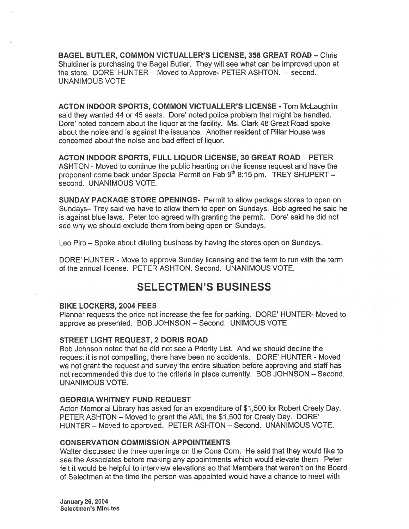BAGEL BUTLER, COMMON VICTUALLER'S LICENSE, 358 GREAT ROAD — Chris Shuldiner is purchasing the Bagel Butler. They will see what can be improved upon at the store. DORE' HUNTER — Moved to Approve- PETER ASHTON. — second. UNANIMOUS VOTE

ACTON INDOOR SPORTS, COMMON VICTUALLER'S LICENSE - Tom McLaughlin said they wanted 44 or 45 seats. Dore' noted police problem that might be handled. Dore' noted concern about the liquor at the facility. Ms. Clark 48 Great Road spoke about the noise and is against the issuance. Another resident of Pillar House was concerned about the noise and bad effect of liquor.

ACTON INDOOR SPORTS, FULL LIQUOR LICENSE, 30 GREAT ROAD — PETER ASHTON - Moved to continue the public hearting on the license reques<sup>t</sup> and have the proponent come back under Special Permit on Feb 9th 8:15 pm. TREY SHUPERT second. UNANIMOUS VOTE.

SUNDAY PACKAGE STORE OPENINGS- Permit to allow package stores to open on Sundays- Trey said we have to allow them to open on Sundays. Bob agreed he said he is against blue laws. Peter too agreed with granting the permit. Dore' said he did not see why we should exclude them from being open on Sundays.

Leo Piro — Spoke about diluting business by having the stores open on Sundays.

DORE' HUNTER - Move to approve Sunday licensing and the term to run with the term of the annual license. PETER ASHTON. Second. UNANIMOUS VOTE.

## SELECTMEN'S BUSINESS

#### BIKE LOCKERS, 2004 FEES

Planner requests the price not increase the fee for parking. DORE' HUNTER- Moved to approve as presented. BOB JOHNSON — Second. UNIMOUS VOTE

#### STREET LIGHT REQUEST, 2 DORIS ROAD

Bob Johnson noted that he did not see <sup>a</sup> Priority List. And we should decline the reques<sup>t</sup> it is not compelling, there have been no accidents. DORE' HUNTER - Moved we not gran<sup>t</sup> the reques<sup>t</sup> and survey the entire situation before approving and staff has not recommended this due to the criteria in place currently. BOB JOHNSON — Second. UNANIMOUS VOTE.

#### GEORGIA WHITNEY FUND REQUEST

Acton Memorial Library has asked for an expenditure of \$1,500 for Robert Creely Day. PETER ASHTON — Moved to gran<sup>t</sup> the AML the \$1,500 for Creely Day. DORE' HUNTER — Moved to approved. PETER ASHTON — Second. UNANIMOUS VOTE.

### CONSERVATION COMMISSION APPOINTMENTS

Walter discussed the three openings on the Cons Com. He said that they would like to see the Associates before making any appointments which would elevate them Peter felt it would be helpful to interview elevations so that Members that weren't on the Board of Selectmen at the time the person was appointed would have <sup>a</sup> chance to meet with

January 26, 2004 Selectmen's Minutes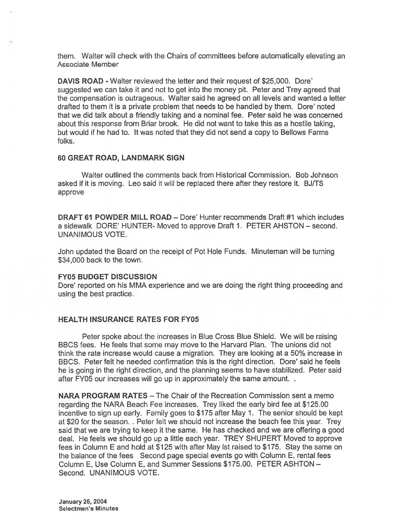them. Walter will check with the Chairs of committees before automatically elevating an Associate Member

DAVIS ROAD - Walter reviewed the letter and their reques<sup>t</sup> of \$25,000. Dore' suggested we can take it and not to ge<sup>t</sup> into the money pit. Peter and Trey agreed that the compensation is outrageous. Walter said he agreed on all levels and wanted <sup>a</sup> letter drafted to them it is <sup>a</sup> private problem that needs to be handled by them. Dore' noted that we did talk about <sup>a</sup> friendly taking and <sup>a</sup> nominal fee. Peter said he was concerned about this response from Briar brook. He did not want to take this as <sup>a</sup> hostile taking, but would if he had to. It was noted that they did not send <sup>a</sup> copy to Bellows Farms folks.

### 60 GREAT ROAD, LANDMARK SIGN

Walter outlined the comments back from Historical Commission. Bob Johnson asked if it is moving. Leo said it will be replaced there after they restore it. BJ/TS approve

DRAFT 61 POWDER MILL ROAD — Dore' Hunter recommends Draft #1 which includes <sup>a</sup> sidewalk DORE' HUNTER- Moved to approve Draft 1. PETER AHSTON — second. UNANIMOUS VOTE.

John updated the Board on the receipt of Pot Hole Funds. Minuteman will be turning \$34,000 back to the town.

#### FY05 BUDGET DISCUSSION

Dote' reported on his MMA experience and we are doing the right thing proceeding and using the best practice.

#### HEALTH INSURANCE RATES FOR FY05

Peter spoke about the increases in Blue Cross Blue Shield. We will be raising BBCS fees. He feels that some may move to the Harvard Plan. The unions did not think the rate increase would cause <sup>a</sup> migration. They are looking at <sup>a</sup> 50% increase in BBCS. Peter felt he needed confirmation this is the right direction. Dore' said he feels he is going in the right direction, and the planning seems to have stabilized. Peter said after FY05 our increases will go up in approximately the same amount...

NARA PROGRAM RATES — The Chair of the Recreation Commission sent <sup>a</sup> memo regarding the NARA Beach Fee increases. Trey liked the early bird fee at \$125.00 incentive to sign up early. Family goes to \$175 after May 1. The senior should be kept at \$20 for the season. . Peter felt we should not increase the beach fee this year. Trey said that we are trying to keep it the same. He has checked and we are offering <sup>a</sup> good deal. He feels we should go up <sup>a</sup> little each year. TREY SHUPERT Moved to approve fees in Column E and hold at \$125 with after May 1st raised to \$175. Stay the same on the balance of the fees Second page special events go with Column E, rental fees Column E, Use Column E, and Summer Sessions \$175.00. PETER ASHTON — Second. UNANIMOUS VOTE.

January 26, 2004 Selectmen's Minutes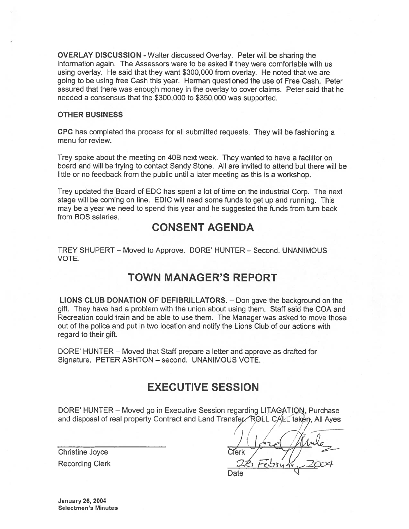OVERLAY DISCUSSION - Walter discussed Overlay. Peter will be sharing the information again. The Assessors were to be asked if they were comfortable with us using overlay. He said that they want \$300,000 from overlay. He noted that we are going to be using free Cash this year. Herman questioned the use of Free Cash. Peter assured that there was enough money in the overlay to cover claims. Peter said that he needed <sup>a</sup> consensus that the \$300,000 to \$350,000 was supported.

### OTHER BUSINESS

CPC has completed the process for all submitted requests. They will be fashioning <sup>a</sup> menu for review.

Trey spoke about the meeting on 40B next week. They wanted to have <sup>a</sup> facilitor on board and will be trying to contact Sandy Stone. All are invited to attend but there will be little or no feedback from the public until <sup>a</sup> later meeting as this is <sup>a</sup> workshop.

Trey updated the Board of EDC has spen<sup>t</sup> <sup>a</sup> lot of time on the industrial Corp. The next stage will be coming on line. EDIC will need some funds to ge<sup>t</sup> up and running. This may be <sup>a</sup> year we need to spend this year and he suggested the funds from turn back from BOS salaries.

## CONSENT AGENDA

TREY SHUPERT — Moved to Approve. DORE' HUNTER — Second. UNANIMOUS VOTE.

## TOWN MANAGER'S REPORT

LIONS CLUB DONATION OF DEFIBRILLATORS. — Don gave the background on the gift. They have had <sup>a</sup> problem with the union about using them. Staff said the COA and Recreation could train and be able to use them. The Manager was asked to move those out of the police and pu<sup>t</sup> in two location and notify the Lions Club of our actions with regard to their gift.

DORE' HUNTER — Moved that Staff prepare <sup>a</sup> letter and approve as drafted for Signature. PETER ASHTON — second. UNANIMOUS VOTE.

## EXECUTIVE SESSION

DORE' HUNTER – Moved go in Executive Session regarding LITAGATION, Purchase and disposal of real property Contract and Land Transfer. ROLL CALL taken, All Ayes

Christine Joyce **Christine** Oriental Recording Clerk

1 –<br>2004 Date

January 26, 2004 Selectmen's Minutes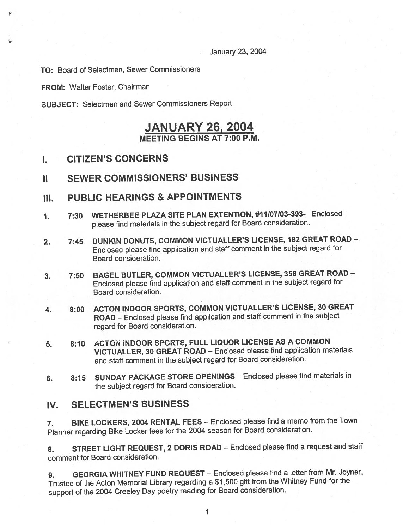January 23, 2004

TO: Board of Selectmen, Sewer Commissioners

FROM: Walter Foster, Chairman

SUBJECT: Selectmen and Sewer Commissioners Report

## JANUARY 26, 2004 MEETING BEGINS AT 7:00 P.M.

- I. CITIZEN'S CONCERNS
- II SEWER COMMISSIONERS' BUSINESS
- III. PUBLIC HEARINGS & APPOINTMENTS
- 1. 7:30 WETHERBEE PLAZA SITE PLAN EXTENTION, #11107103-393- Enclosed <sup>p</sup>lease find materials in the subject regar<sup>d</sup> for Board consideration.
- 2. 7:45 DUNKIN DONUTS, COMMON VICTUALLER'S LICENSE, <sup>182</sup> GREAT ROAD Enclosed <sup>p</sup>lease find application and staff comment in the subject regar<sup>d</sup> for Board consideration.
- 3. 7:50 BAGEL BUTLER, COMMON VICTUALLER'S LICENSE, <sup>358</sup> GREAT ROAD Enclosed <sup>p</sup>lease find application and staff comment in the subject regar<sup>d</sup> for Board consideration.
- 4. 8:00 ACTON INDOOR SPORTS, COMMON VICTUALLER'S LICENSE, <sup>30</sup> GREAT ROAD — Enclosed <sup>p</sup>lease find application and staff comment in the subject regard for Board consideration.
- 5. 8:10 ACTON INDOOR SPCRTS, FULL LIQUOR LICENSE AS A COMMON VICTUALLER, <sup>30</sup> GREAT ROAD — Enclosed <sup>p</sup>lease find application materials and staff comment in the subject regar<sup>d</sup> for Board consideration.
- 6. 8:15 SUNDAY PACKAGE STORE OPENINGS Enclosed <sup>p</sup>lease find materials in the subject regar<sup>d</sup> for Board consideration.

## IV. SELECTMEN'S BUSINESS

7. BIKE LOCKERS, <sup>2004</sup> RENTAL FEES — Enclosed <sup>p</sup>lease find <sup>a</sup> memo from the Town Planner regarding Bike Locker fees for the <sup>2004</sup> season for Board consideration.

8. STREET LIGHT REQUEST, 2 DORIS ROAD - Enclosed please find a request and staff comment for Board consideration.

9. GEORGIA WHITNEY FUND REQUEST — Enclosed <sup>p</sup>lease find <sup>a</sup> letter from Mr. Joyner, Trustee of the Acton Memorial Library regarding <sup>a</sup> \$1,500 <sup>g</sup>ift from the Whitney Fund for the suppor<sup>t</sup> of the <sup>2004</sup> Creeley Day poetry reading for Board consideration.

1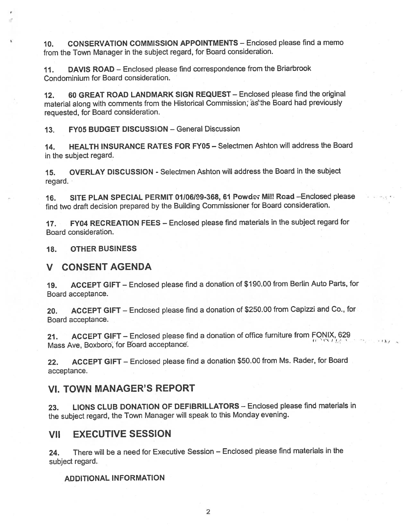10. CONSERVATION COMMISSION APPOINTMENTS — Enclosed please find <sup>a</sup> memo from the Town Manager in the subject regard, for Board consideration.

11. DAVIS ROAD — Enclosed <sup>p</sup>lease find correspondence from the Briarbrook Condominium for Board consideration.

12. 60 GREAT ROAD LANDMARK SIGN REQUEST — Enclosed please find the original material along with comments from the Historical Commission; as the Board had previously requested, for Board consideration.

13. FY05 BUDGET DISCUSSION — General Discussion

14. HEALTH INSURANCE RATES FOR FY05 — Selectmen Ashton will address the Board in the subject regard.

15. OVERLAY DISCUSSION - Selectmen Ashton will address the Board in the subject regard.

16. SITE PLAN SPECIAL PERMIT 01/06/99-368, 61 Powder Mi!! Read - Enclosed please find two draft decision prepare<sup>d</sup> by the Building Commissioner for Board consideration.

17. FY04 RECREATION FEES - Enclosed please find materials in the subject regard for Board consideration.

18. OTHER BUSINESS

### V CONSENT AGENDA

19. ACCEPT GIFT — Enclosed <sup>p</sup>lease find <sup>a</sup> donation of \$190.00 from Berlin Auto Parts, for Board acceptance.

20. ACCEPT GIFT — Enclosed <sup>p</sup>lease find <sup>a</sup> donation of \$250.00 from Capizzi and Co., for Board acceptance.

21. ACCEPT GIFT — Enclosed <sup>p</sup>lease find <sup>a</sup> donation of office furniture from FONIX, <sup>629</sup> Mass Ave, Boxboro, for Board acceptance.

22. ACCEPT GIFT — Enclosed <sup>p</sup>lease find <sup>a</sup> donation \$50.00 from Ms. Rader, for Board acceptance.

### VI. TOWN MANAGER'S REPORT

23. LIONS CLUB DONATION OF DEFIBRILLATORS — Enclosed <sup>p</sup>lease find materials in the subject regard, the Town Manager will spea<sup>k</sup> to this Monday evening.

### VII EXECUTIVE SESSION

24. There will be <sup>a</sup> need for Executive Session — Enclosed please find materials in the subject regard.

### ADDITIONAL INFORMATION

2